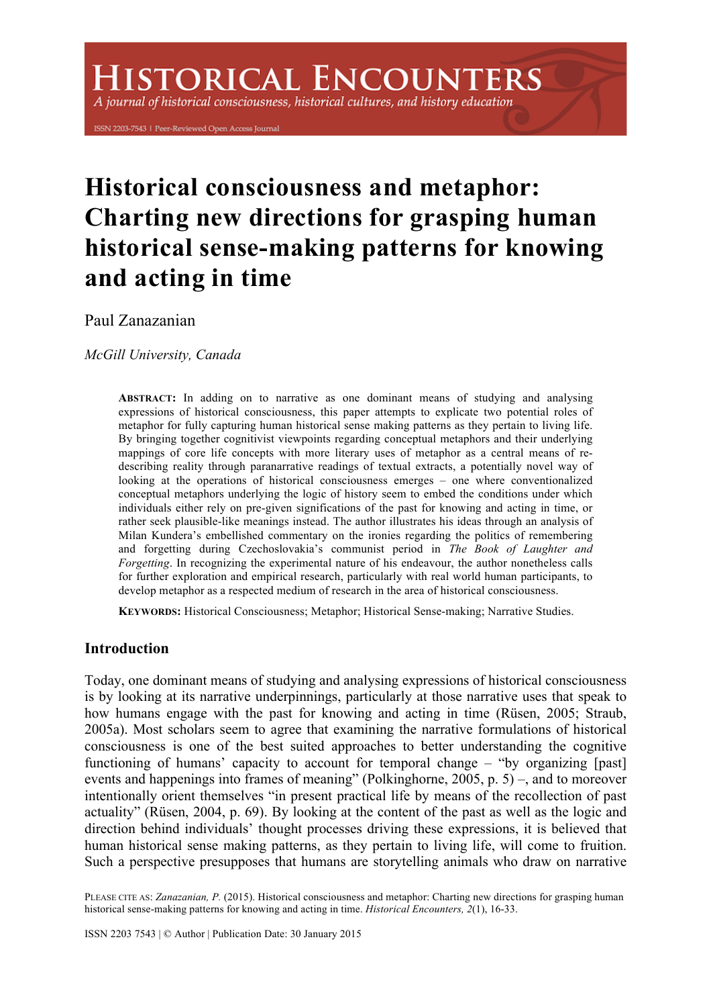# **HISTORICAL ENCOUNTERS**

A journal of historical consciousness, historical cultures, and history education

ISSN 2203-7543 | Peer-Reviewed Open Access Journal

# **Historical consciousness and metaphor: Charting new directions for grasping human historical sense-making patterns for knowing and acting in time**

Paul Zanazanian

*McGill University, Canada*

**ABSTRACT:** In adding on to narrative as one dominant means of studying and analysing expressions of historical consciousness, this paper attempts to explicate two potential roles of metaphor for fully capturing human historical sense making patterns as they pertain to living life. By bringing together cognitivist viewpoints regarding conceptual metaphors and their underlying mappings of core life concepts with more literary uses of metaphor as a central means of redescribing reality through paranarrative readings of textual extracts, a potentially novel way of looking at the operations of historical consciousness emerges – one where conventionalized conceptual metaphors underlying the logic of history seem to embed the conditions under which individuals either rely on pre-given significations of the past for knowing and acting in time, or rather seek plausible-like meanings instead. The author illustrates his ideas through an analysis of Milan Kundera's embellished commentary on the ironies regarding the politics of remembering and forgetting during Czechoslovakia's communist period in *The Book of Laughter and Forgetting*. In recognizing the experimental nature of his endeavour, the author nonetheless calls for further exploration and empirical research, particularly with real world human participants, to develop metaphor as a respected medium of research in the area of historical consciousness.

**KEYWORDS:** Historical Consciousness; Metaphor; Historical Sense-making; Narrative Studies.

# **Introduction**

Today, one dominant means of studying and analysing expressions of historical consciousness is by looking at its narrative underpinnings, particularly at those narrative uses that speak to how humans engage with the past for knowing and acting in time (Rüsen, 2005; Straub, 2005a). Most scholars seem to agree that examining the narrative formulations of historical consciousness is one of the best suited approaches to better understanding the cognitive functioning of humans' capacity to account for temporal change – "by organizing [past] events and happenings into frames of meaning" (Polkinghorne, 2005, p. 5) –, and to moreover intentionally orient themselves "in present practical life by means of the recollection of past actuality" (Rüsen, 2004, p. 69). By looking at the content of the past as well as the logic and direction behind individuals' thought processes driving these expressions, it is believed that human historical sense making patterns, as they pertain to living life, will come to fruition. Such a perspective presupposes that humans are storytelling animals who draw on narrative

PLEASE CITE AS: *Zanazanian, P.* (2015). Historical consciousness and metaphor: Charting new directions for grasping human historical sense-making patterns for knowing and acting in time. *Historical Encounters, 2*(1), 16-33.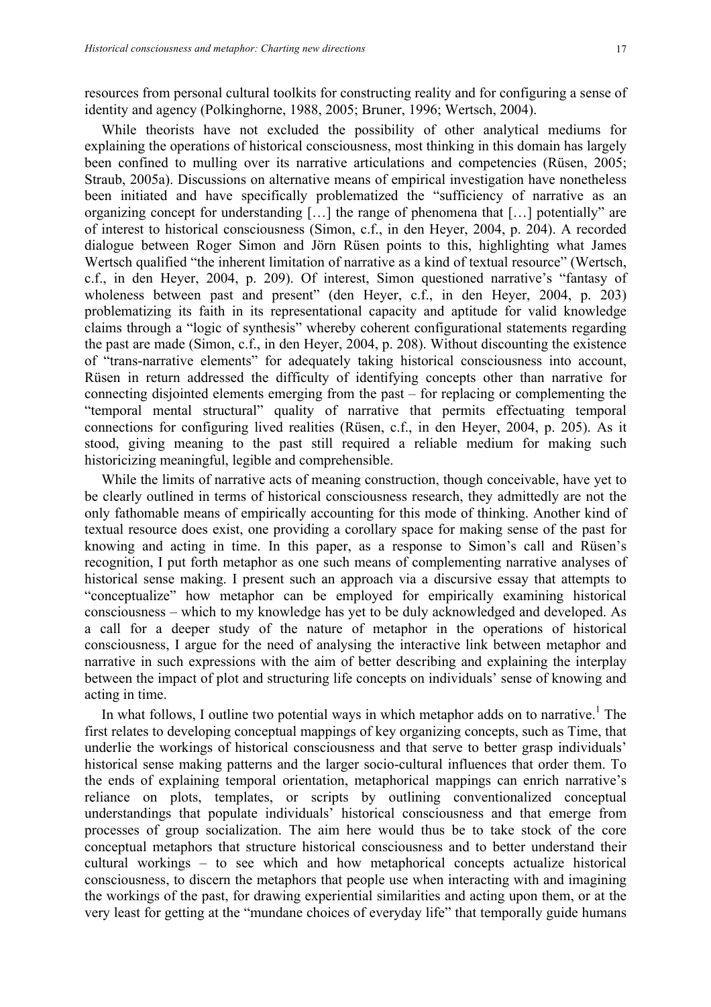resources from personal cultural toolkits for constructing reality and for configuring a sense of identity and agency (Polkinghorne, 1988, 2005; Bruner, 1996; Wertsch, 2004).

While theorists have not excluded the possibility of other analytical mediums for explaining the operations of historical consciousness, most thinking in this domain has largely been confined to mulling over its narrative articulations and competencies (Rüsen, 2005; Straub, 2005a). Discussions on alternative means of empirical investigation have nonetheless been initiated and have specifically problematized the "sufficiency of narrative as an organizing concept for understanding […] the range of phenomena that […] potentially" are of interest to historical consciousness (Simon, c.f., in den Heyer, 2004, p. 204). A recorded dialogue between Roger Simon and Jörn Rüsen points to this, highlighting what James Wertsch qualified "the inherent limitation of narrative as a kind of textual resource" (Wertsch, c.f., in den Heyer, 2004, p. 209). Of interest, Simon questioned narrative's "fantasy of wholeness between past and present" (den Heyer, c.f., in den Heyer, 2004, p. 203) problematizing its faith in its representational capacity and aptitude for valid knowledge claims through a "logic of synthesis" whereby coherent configurational statements regarding the past are made (Simon, c.f., in den Heyer, 2004, p. 208). Without discounting the existence of "trans-narrative elements" for adequately taking historical consciousness into account, Rüsen in return addressed the difficulty of identifying concepts other than narrative for connecting disjointed elements emerging from the past – for replacing or complementing the "temporal mental structural" quality of narrative that permits effectuating temporal connections for configuring lived realities (Rüsen, c.f., in den Heyer, 2004, p. 205). As it stood, giving meaning to the past still required a reliable medium for making such historicizing meaningful, legible and comprehensible.

While the limits of narrative acts of meaning construction, though conceivable, have yet to be clearly outlined in terms of historical consciousness research, they admittedly are not the only fathomable means of empirically accounting for this mode of thinking. Another kind of textual resource does exist, one providing a corollary space for making sense of the past for knowing and acting in time. In this paper, as a response to Simon's call and Rüsen's recognition, I put forth metaphor as one such means of complementing narrative analyses of historical sense making. I present such an approach via a discursive essay that attempts to "conceptualize" how metaphor can be employed for empirically examining historical consciousness – which to my knowledge has yet to be duly acknowledged and developed. As a call for a deeper study of the nature of metaphor in the operations of historical consciousness, I argue for the need of analysing the interactive link between metaphor and narrative in such expressions with the aim of better describing and explaining the interplay between the impact of plot and structuring life concepts on individuals' sense of knowing and acting in time.

In what follows, I outline two potential ways in which metaphor adds on to narrative.<sup>1</sup> The first relates to developing conceptual mappings of key organizing concepts, such as Time, that underlie the workings of historical consciousness and that serve to better grasp individuals' historical sense making patterns and the larger socio-cultural influences that order them. To the ends of explaining temporal orientation, metaphorical mappings can enrich narrative's reliance on plots, templates, or scripts by outlining conventionalized conceptual understandings that populate individuals' historical consciousness and that emerge from processes of group socialization. The aim here would thus be to take stock of the core conceptual metaphors that structure historical consciousness and to better understand their cultural workings – to see which and how metaphorical concepts actualize historical consciousness, to discern the metaphors that people use when interacting with and imagining the workings of the past, for drawing experiential similarities and acting upon them, or at the very least for getting at the "mundane choices of everyday life" that temporally guide humans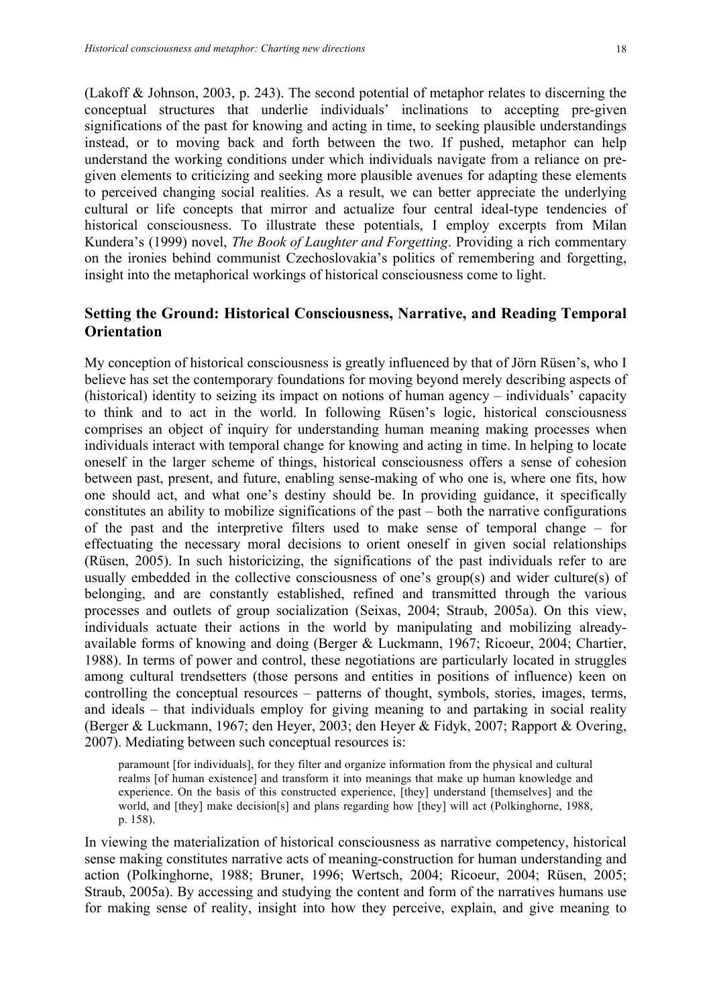(Lakoff & Johnson, 2003, p. 243). The second potential of metaphor relates to discerning the conceptual structures that underlie individuals' inclinations to accepting pre-given significations of the past for knowing and acting in time, to seeking plausible understandings instead, or to moving back and forth between the two. If pushed, metaphor can help understand the working conditions under which individuals navigate from a reliance on pregiven elements to criticizing and seeking more plausible avenues for adapting these elements to perceived changing social realities. As a result, we can better appreciate the underlying cultural or life concepts that mirror and actualize four central ideal-type tendencies of historical consciousness. To illustrate these potentials, I employ excerpts from Milan Kundera's (1999) novel, *The Book of Laughter and Forgetting*. Providing a rich commentary on the ironies behind communist Czechoslovakia's politics of remembering and forgetting, insight into the metaphorical workings of historical consciousness come to light.

# **Setting the Ground: Historical Consciousness, Narrative, and Reading Temporal Orientation**

My conception of historical consciousness is greatly influenced by that of Jörn Rüsen's, who I believe has set the contemporary foundations for moving beyond merely describing aspects of (historical) identity to seizing its impact on notions of human agency – individuals' capacity to think and to act in the world. In following Rüsen's logic, historical consciousness comprises an object of inquiry for understanding human meaning making processes when individuals interact with temporal change for knowing and acting in time. In helping to locate oneself in the larger scheme of things, historical consciousness offers a sense of cohesion between past, present, and future, enabling sense-making of who one is, where one fits, how one should act, and what one's destiny should be. In providing guidance, it specifically constitutes an ability to mobilize significations of the past – both the narrative configurations of the past and the interpretive filters used to make sense of temporal change – for effectuating the necessary moral decisions to orient oneself in given social relationships (Rüsen, 2005). In such historicizing, the significations of the past individuals refer to are usually embedded in the collective consciousness of one's group(s) and wider culture(s) of belonging, and are constantly established, refined and transmitted through the various processes and outlets of group socialization (Seixas, 2004; Straub, 2005a). On this view, individuals actuate their actions in the world by manipulating and mobilizing alreadyavailable forms of knowing and doing (Berger & Luckmann, 1967; Ricoeur, 2004; Chartier, 1988). In terms of power and control, these negotiations are particularly located in struggles among cultural trendsetters (those persons and entities in positions of influence) keen on controlling the conceptual resources – patterns of thought, symbols, stories, images, terms, and ideals – that individuals employ for giving meaning to and partaking in social reality (Berger & Luckmann, 1967; den Heyer, 2003; den Heyer & Fidyk, 2007; Rapport & Overing, 2007). Mediating between such conceptual resources is:

paramount [for individuals], for they filter and organize information from the physical and cultural realms [of human existence] and transform it into meanings that make up human knowledge and experience. On the basis of this constructed experience, [they] understand [themselves] and the world, and [they] make decision[s] and plans regarding how [they] will act (Polkinghorne, 1988, p. 158).

In viewing the materialization of historical consciousness as narrative competency, historical sense making constitutes narrative acts of meaning-construction for human understanding and action (Polkinghorne, 1988; Bruner, 1996; Wertsch, 2004; Ricoeur, 2004; Rüsen, 2005; Straub, 2005a). By accessing and studying the content and form of the narratives humans use for making sense of reality, insight into how they perceive, explain, and give meaning to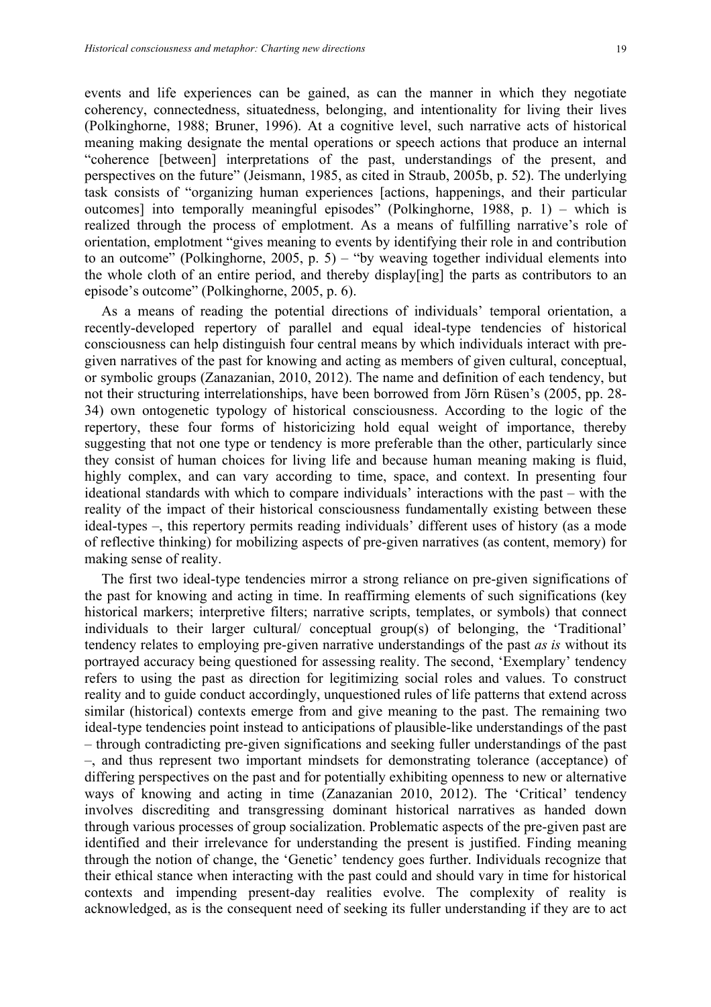events and life experiences can be gained, as can the manner in which they negotiate coherency, connectedness, situatedness, belonging, and intentionality for living their lives (Polkinghorne, 1988; Bruner, 1996). At a cognitive level, such narrative acts of historical meaning making designate the mental operations or speech actions that produce an internal "coherence [between] interpretations of the past, understandings of the present, and perspectives on the future" (Jeismann, 1985, as cited in Straub, 2005b, p. 52). The underlying task consists of "organizing human experiences [actions, happenings, and their particular outcomes] into temporally meaningful episodes" (Polkinghorne, 1988, p. 1) – which is realized through the process of emplotment. As a means of fulfilling narrative's role of orientation, emplotment "gives meaning to events by identifying their role in and contribution to an outcome" (Polkinghorne, 2005, p. 5) – "by weaving together individual elements into the whole cloth of an entire period, and thereby display[ing] the parts as contributors to an episode's outcome" (Polkinghorne, 2005, p. 6).

As a means of reading the potential directions of individuals' temporal orientation, a recently-developed repertory of parallel and equal ideal-type tendencies of historical consciousness can help distinguish four central means by which individuals interact with pregiven narratives of the past for knowing and acting as members of given cultural, conceptual, or symbolic groups (Zanazanian, 2010, 2012). The name and definition of each tendency, but not their structuring interrelationships, have been borrowed from Jörn Rüsen's (2005, pp. 28- 34) own ontogenetic typology of historical consciousness. According to the logic of the repertory, these four forms of historicizing hold equal weight of importance, thereby suggesting that not one type or tendency is more preferable than the other, particularly since they consist of human choices for living life and because human meaning making is fluid, highly complex, and can vary according to time, space, and context. In presenting four ideational standards with which to compare individuals' interactions with the past – with the reality of the impact of their historical consciousness fundamentally existing between these ideal-types –, this repertory permits reading individuals' different uses of history (as a mode of reflective thinking) for mobilizing aspects of pre-given narratives (as content, memory) for making sense of reality.

The first two ideal-type tendencies mirror a strong reliance on pre-given significations of the past for knowing and acting in time. In reaffirming elements of such significations (key historical markers; interpretive filters; narrative scripts, templates, or symbols) that connect individuals to their larger cultural/ conceptual group(s) of belonging, the 'Traditional' tendency relates to employing pre-given narrative understandings of the past *as is* without its portrayed accuracy being questioned for assessing reality. The second, 'Exemplary' tendency refers to using the past as direction for legitimizing social roles and values. To construct reality and to guide conduct accordingly, unquestioned rules of life patterns that extend across similar (historical) contexts emerge from and give meaning to the past. The remaining two ideal-type tendencies point instead to anticipations of plausible-like understandings of the past – through contradicting pre-given significations and seeking fuller understandings of the past –, and thus represent two important mindsets for demonstrating tolerance (acceptance) of differing perspectives on the past and for potentially exhibiting openness to new or alternative ways of knowing and acting in time (Zanazanian 2010, 2012). The 'Critical' tendency involves discrediting and transgressing dominant historical narratives as handed down through various processes of group socialization. Problematic aspects of the pre-given past are identified and their irrelevance for understanding the present is justified. Finding meaning through the notion of change, the 'Genetic' tendency goes further. Individuals recognize that their ethical stance when interacting with the past could and should vary in time for historical contexts and impending present-day realities evolve. The complexity of reality is acknowledged, as is the consequent need of seeking its fuller understanding if they are to act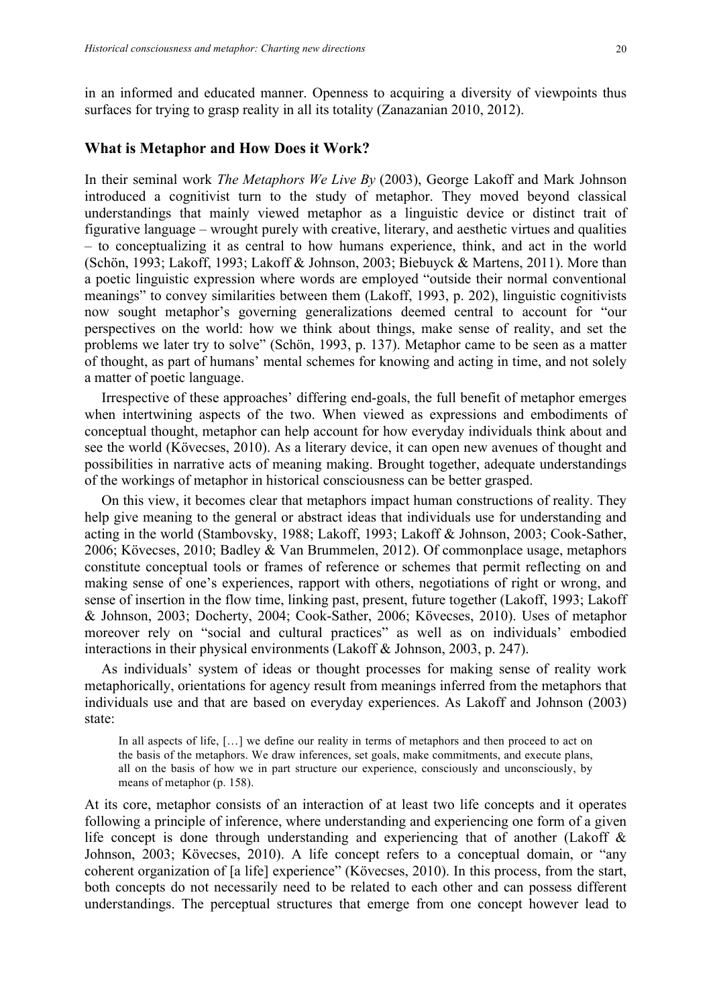in an informed and educated manner. Openness to acquiring a diversity of viewpoints thus surfaces for trying to grasp reality in all its totality (Zanazanian 2010, 2012).

#### **What is Metaphor and How Does it Work?**

In their seminal work *The Metaphors We Live By* (2003), George Lakoff and Mark Johnson introduced a cognitivist turn to the study of metaphor. They moved beyond classical understandings that mainly viewed metaphor as a linguistic device or distinct trait of figurative language – wrought purely with creative, literary, and aesthetic virtues and qualities – to conceptualizing it as central to how humans experience, think, and act in the world (Schön, 1993; Lakoff, 1993; Lakoff & Johnson, 2003; Biebuyck & Martens, 2011). More than a poetic linguistic expression where words are employed "outside their normal conventional meanings" to convey similarities between them (Lakoff, 1993, p. 202), linguistic cognitivists now sought metaphor's governing generalizations deemed central to account for "our perspectives on the world: how we think about things, make sense of reality, and set the problems we later try to solve" (Schön, 1993, p. 137). Metaphor came to be seen as a matter of thought, as part of humans' mental schemes for knowing and acting in time, and not solely a matter of poetic language.

Irrespective of these approaches' differing end-goals, the full benefit of metaphor emerges when intertwining aspects of the two. When viewed as expressions and embodiments of conceptual thought, metaphor can help account for how everyday individuals think about and see the world (Kövecses, 2010). As a literary device, it can open new avenues of thought and possibilities in narrative acts of meaning making. Brought together, adequate understandings of the workings of metaphor in historical consciousness can be better grasped.

On this view, it becomes clear that metaphors impact human constructions of reality. They help give meaning to the general or abstract ideas that individuals use for understanding and acting in the world (Stambovsky, 1988; Lakoff, 1993; Lakoff & Johnson, 2003; Cook-Sather, 2006; Kövecses, 2010; Badley & Van Brummelen, 2012). Of commonplace usage, metaphors constitute conceptual tools or frames of reference or schemes that permit reflecting on and making sense of one's experiences, rapport with others, negotiations of right or wrong, and sense of insertion in the flow time, linking past, present, future together (Lakoff, 1993; Lakoff & Johnson, 2003; Docherty, 2004; Cook-Sather, 2006; Kövecses, 2010). Uses of metaphor moreover rely on "social and cultural practices" as well as on individuals' embodied interactions in their physical environments (Lakoff & Johnson, 2003, p. 247).

As individuals' system of ideas or thought processes for making sense of reality work metaphorically, orientations for agency result from meanings inferred from the metaphors that individuals use and that are based on everyday experiences. As Lakoff and Johnson (2003) state:

In all aspects of life, [...] we define our reality in terms of metaphors and then proceed to act on the basis of the metaphors. We draw inferences, set goals, make commitments, and execute plans, all on the basis of how we in part structure our experience, consciously and unconsciously, by means of metaphor (p. 158).

At its core, metaphor consists of an interaction of at least two life concepts and it operates following a principle of inference, where understanding and experiencing one form of a given life concept is done through understanding and experiencing that of another (Lakoff  $\&$ Johnson, 2003; Kövecses, 2010). A life concept refers to a conceptual domain, or "any coherent organization of [a life] experience" (Kövecses, 2010). In this process, from the start, both concepts do not necessarily need to be related to each other and can possess different understandings. The perceptual structures that emerge from one concept however lead to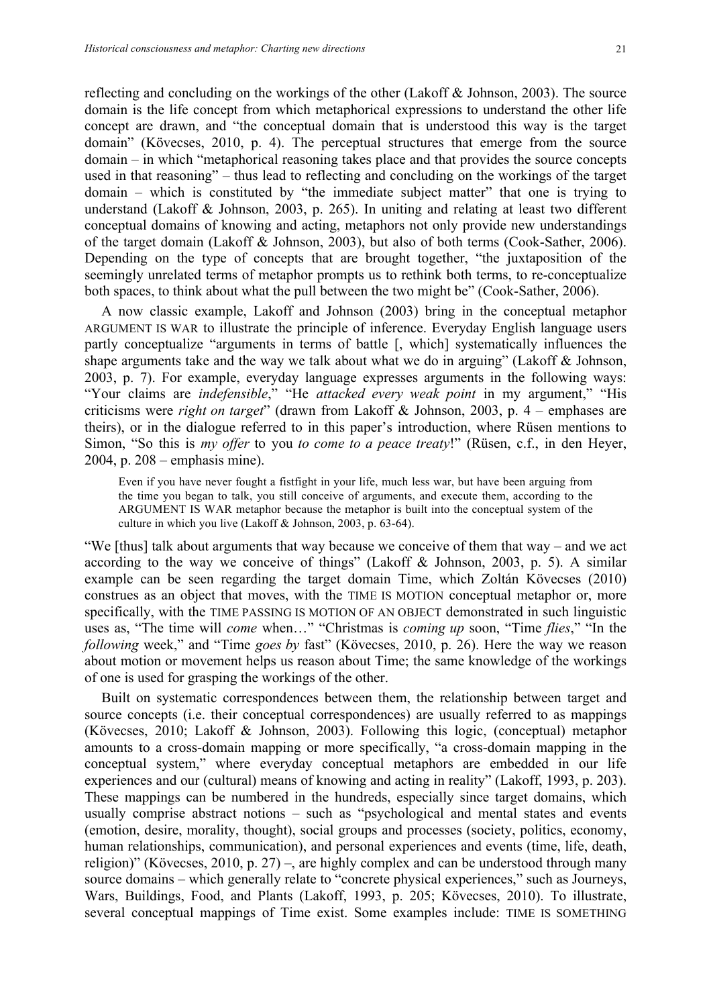reflecting and concluding on the workings of the other (Lakoff & Johnson, 2003). The source domain is the life concept from which metaphorical expressions to understand the other life concept are drawn, and "the conceptual domain that is understood this way is the target domain" (Kövecses, 2010, p. 4). The perceptual structures that emerge from the source domain – in which "metaphorical reasoning takes place and that provides the source concepts used in that reasoning" – thus lead to reflecting and concluding on the workings of the target domain – which is constituted by "the immediate subject matter" that one is trying to understand (Lakoff & Johnson, 2003, p. 265). In uniting and relating at least two different conceptual domains of knowing and acting, metaphors not only provide new understandings of the target domain (Lakoff & Johnson, 2003), but also of both terms (Cook-Sather, 2006). Depending on the type of concepts that are brought together, "the juxtaposition of the seemingly unrelated terms of metaphor prompts us to rethink both terms, to re-conceptualize both spaces, to think about what the pull between the two might be" (Cook-Sather, 2006).

A now classic example, Lakoff and Johnson (2003) bring in the conceptual metaphor ARGUMENT IS WAR to illustrate the principle of inference. Everyday English language users partly conceptualize "arguments in terms of battle [, which] systematically influences the shape arguments take and the way we talk about what we do in arguing" (Lakoff & Johnson, 2003, p. 7). For example, everyday language expresses arguments in the following ways: "Your claims are *indefensible*," "He *attacked every weak point* in my argument," "His criticisms were *right on target*" (drawn from Lakoff & Johnson, 2003, p. 4 – emphases are theirs), or in the dialogue referred to in this paper's introduction, where Rüsen mentions to Simon, "So this is *my offer* to you *to come to a peace treaty*!" (Rüsen, c.f., in den Heyer, 2004, p. 208 – emphasis mine).

Even if you have never fought a fistfight in your life, much less war, but have been arguing from the time you began to talk, you still conceive of arguments, and execute them, according to the ARGUMENT IS WAR metaphor because the metaphor is built into the conceptual system of the culture in which you live (Lakoff & Johnson, 2003, p. 63-64).

"We [thus] talk about arguments that way because we conceive of them that way – and we act according to the way we conceive of things" (Lakoff  $\&$  Johnson, 2003, p. 5). A similar example can be seen regarding the target domain Time, which Zoltán Kövecses (2010) construes as an object that moves, with the TIME IS MOTION conceptual metaphor or, more specifically, with the TIME PASSING IS MOTION OF AN OBJECT demonstrated in such linguistic uses as, "The time will *come* when…" "Christmas is *coming up* soon, "Time *flies*," "In the *following* week," and "Time *goes by* fast" (Kövecses, 2010, p. 26). Here the way we reason about motion or movement helps us reason about Time; the same knowledge of the workings of one is used for grasping the workings of the other.

Built on systematic correspondences between them, the relationship between target and source concepts (i.e. their conceptual correspondences) are usually referred to as mappings (Kövecses, 2010; Lakoff & Johnson, 2003). Following this logic, (conceptual) metaphor amounts to a cross-domain mapping or more specifically, "a cross-domain mapping in the conceptual system," where everyday conceptual metaphors are embedded in our life experiences and our (cultural) means of knowing and acting in reality" (Lakoff, 1993, p. 203). These mappings can be numbered in the hundreds, especially since target domains, which usually comprise abstract notions – such as "psychological and mental states and events (emotion, desire, morality, thought), social groups and processes (society, politics, economy, human relationships, communication), and personal experiences and events (time, life, death, religion)" (Kövecses, 2010, p. 27) –, are highly complex and can be understood through many source domains – which generally relate to "concrete physical experiences," such as Journeys, Wars, Buildings, Food, and Plants (Lakoff, 1993, p. 205; Kövecses, 2010). To illustrate, several conceptual mappings of Time exist. Some examples include: TIME IS SOMETHING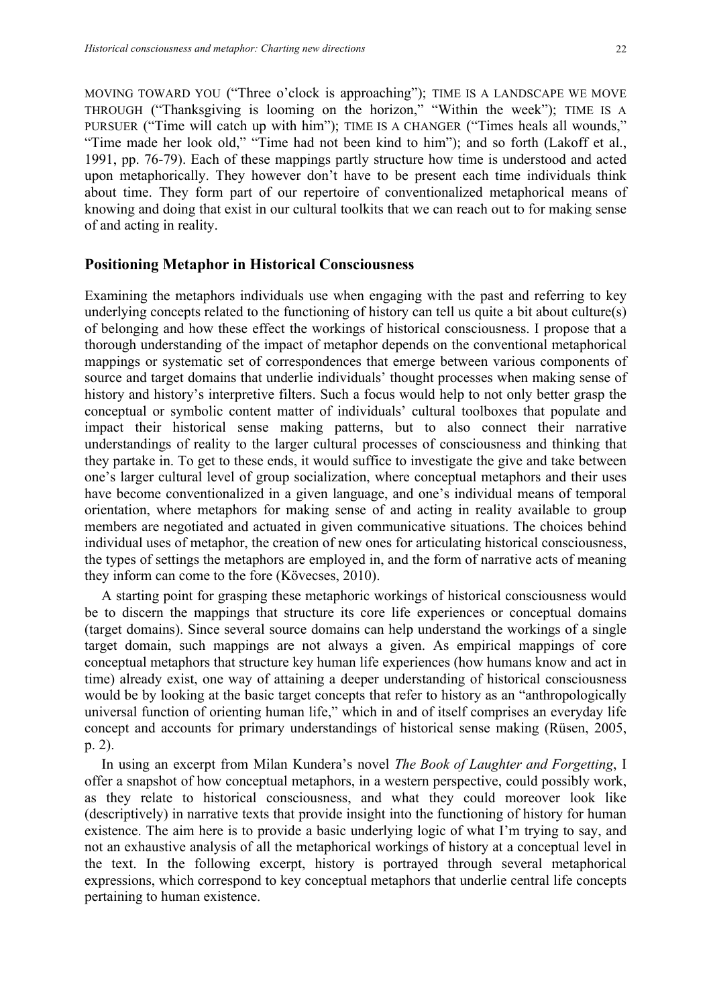MOVING TOWARD YOU ("Three o'clock is approaching"); TIME IS A LANDSCAPE WE MOVE THROUGH ("Thanksgiving is looming on the horizon," "Within the week"); TIME IS A PURSUER ("Time will catch up with him"); TIME IS A CHANGER ("Times heals all wounds," "Time made her look old," "Time had not been kind to him"); and so forth (Lakoff et al., 1991, pp. 76-79). Each of these mappings partly structure how time is understood and acted upon metaphorically. They however don't have to be present each time individuals think about time. They form part of our repertoire of conventionalized metaphorical means of knowing and doing that exist in our cultural toolkits that we can reach out to for making sense of and acting in reality.

### **Positioning Metaphor in Historical Consciousness**

Examining the metaphors individuals use when engaging with the past and referring to key underlying concepts related to the functioning of history can tell us quite a bit about culture(s) of belonging and how these effect the workings of historical consciousness. I propose that a thorough understanding of the impact of metaphor depends on the conventional metaphorical mappings or systematic set of correspondences that emerge between various components of source and target domains that underlie individuals' thought processes when making sense of history and history's interpretive filters. Such a focus would help to not only better grasp the conceptual or symbolic content matter of individuals' cultural toolboxes that populate and impact their historical sense making patterns, but to also connect their narrative understandings of reality to the larger cultural processes of consciousness and thinking that they partake in. To get to these ends, it would suffice to investigate the give and take between one's larger cultural level of group socialization, where conceptual metaphors and their uses have become conventionalized in a given language, and one's individual means of temporal orientation, where metaphors for making sense of and acting in reality available to group members are negotiated and actuated in given communicative situations. The choices behind individual uses of metaphor, the creation of new ones for articulating historical consciousness, the types of settings the metaphors are employed in, and the form of narrative acts of meaning they inform can come to the fore (Kövecses, 2010).

A starting point for grasping these metaphoric workings of historical consciousness would be to discern the mappings that structure its core life experiences or conceptual domains (target domains). Since several source domains can help understand the workings of a single target domain, such mappings are not always a given. As empirical mappings of core conceptual metaphors that structure key human life experiences (how humans know and act in time) already exist, one way of attaining a deeper understanding of historical consciousness would be by looking at the basic target concepts that refer to history as an "anthropologically universal function of orienting human life," which in and of itself comprises an everyday life concept and accounts for primary understandings of historical sense making (Rüsen, 2005, p. 2).

In using an excerpt from Milan Kundera's novel *The Book of Laughter and Forgetting*, I offer a snapshot of how conceptual metaphors, in a western perspective, could possibly work, as they relate to historical consciousness, and what they could moreover look like (descriptively) in narrative texts that provide insight into the functioning of history for human existence. The aim here is to provide a basic underlying logic of what I'm trying to say, and not an exhaustive analysis of all the metaphorical workings of history at a conceptual level in the text. In the following excerpt, history is portrayed through several metaphorical expressions, which correspond to key conceptual metaphors that underlie central life concepts pertaining to human existence.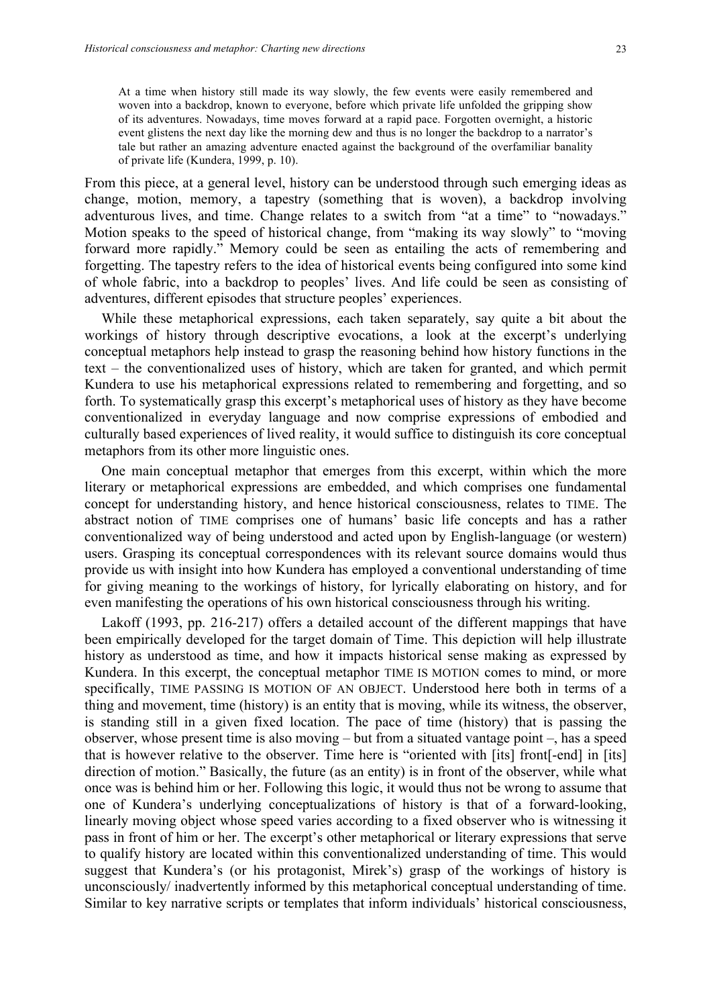At a time when history still made its way slowly, the few events were easily remembered and woven into a backdrop, known to everyone, before which private life unfolded the gripping show of its adventures. Nowadays, time moves forward at a rapid pace. Forgotten overnight, a historic event glistens the next day like the morning dew and thus is no longer the backdrop to a narrator's tale but rather an amazing adventure enacted against the background of the overfamiliar banality of private life (Kundera, 1999, p. 10).

From this piece, at a general level, history can be understood through such emerging ideas as change, motion, memory, a tapestry (something that is woven), a backdrop involving adventurous lives, and time. Change relates to a switch from "at a time" to "nowadays." Motion speaks to the speed of historical change, from "making its way slowly" to "moving forward more rapidly." Memory could be seen as entailing the acts of remembering and forgetting. The tapestry refers to the idea of historical events being configured into some kind of whole fabric, into a backdrop to peoples' lives. And life could be seen as consisting of adventures, different episodes that structure peoples' experiences.

While these metaphorical expressions, each taken separately, say quite a bit about the workings of history through descriptive evocations, a look at the excerpt's underlying conceptual metaphors help instead to grasp the reasoning behind how history functions in the text – the conventionalized uses of history, which are taken for granted, and which permit Kundera to use his metaphorical expressions related to remembering and forgetting, and so forth. To systematically grasp this excerpt's metaphorical uses of history as they have become conventionalized in everyday language and now comprise expressions of embodied and culturally based experiences of lived reality, it would suffice to distinguish its core conceptual metaphors from its other more linguistic ones.

One main conceptual metaphor that emerges from this excerpt, within which the more literary or metaphorical expressions are embedded, and which comprises one fundamental concept for understanding history, and hence historical consciousness, relates to TIME. The abstract notion of TIME comprises one of humans' basic life concepts and has a rather conventionalized way of being understood and acted upon by English-language (or western) users. Grasping its conceptual correspondences with its relevant source domains would thus provide us with insight into how Kundera has employed a conventional understanding of time for giving meaning to the workings of history, for lyrically elaborating on history, and for even manifesting the operations of his own historical consciousness through his writing.

Lakoff (1993, pp. 216-217) offers a detailed account of the different mappings that have been empirically developed for the target domain of Time. This depiction will help illustrate history as understood as time, and how it impacts historical sense making as expressed by Kundera. In this excerpt, the conceptual metaphor TIME IS MOTION comes to mind, or more specifically, TIME PASSING IS MOTION OF AN OBJECT. Understood here both in terms of a thing and movement, time (history) is an entity that is moving, while its witness, the observer, is standing still in a given fixed location. The pace of time (history) that is passing the observer, whose present time is also moving – but from a situated vantage point –, has a speed that is however relative to the observer. Time here is "oriented with [its] front[-end] in [its] direction of motion." Basically, the future (as an entity) is in front of the observer, while what once was is behind him or her. Following this logic, it would thus not be wrong to assume that one of Kundera's underlying conceptualizations of history is that of a forward-looking, linearly moving object whose speed varies according to a fixed observer who is witnessing it pass in front of him or her. The excerpt's other metaphorical or literary expressions that serve to qualify history are located within this conventionalized understanding of time. This would suggest that Kundera's (or his protagonist, Mirek's) grasp of the workings of history is unconsciously/ inadvertently informed by this metaphorical conceptual understanding of time. Similar to key narrative scripts or templates that inform individuals' historical consciousness,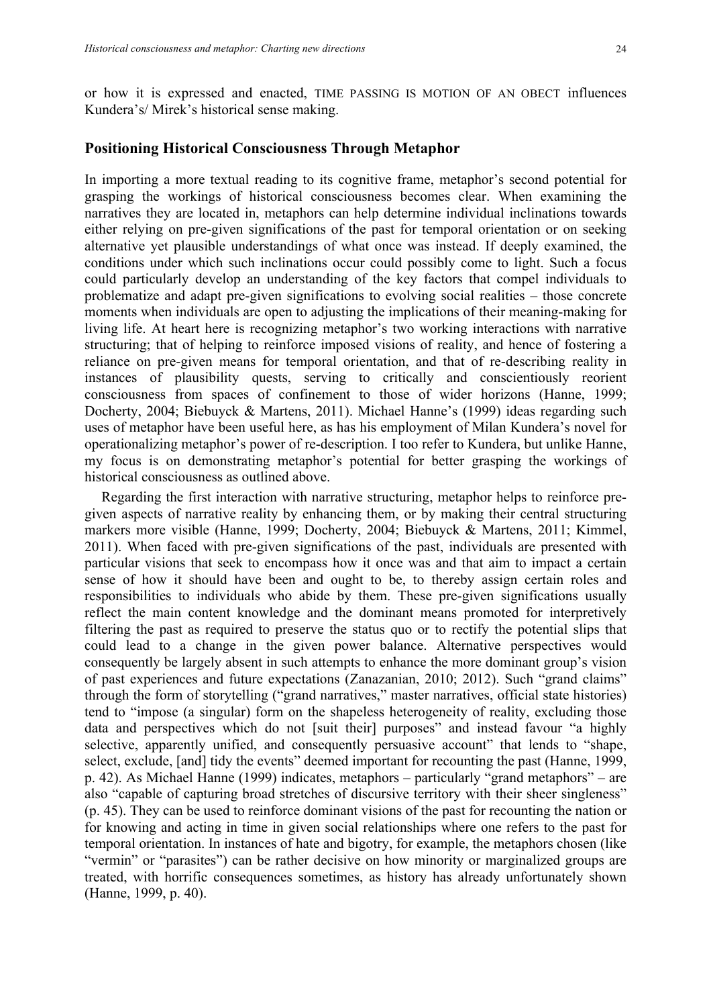or how it is expressed and enacted, TIME PASSING IS MOTION OF AN OBECT influences Kundera's/ Mirek's historical sense making.

#### **Positioning Historical Consciousness Through Metaphor**

In importing a more textual reading to its cognitive frame, metaphor's second potential for grasping the workings of historical consciousness becomes clear. When examining the narratives they are located in, metaphors can help determine individual inclinations towards either relying on pre-given significations of the past for temporal orientation or on seeking alternative yet plausible understandings of what once was instead. If deeply examined, the conditions under which such inclinations occur could possibly come to light. Such a focus could particularly develop an understanding of the key factors that compel individuals to problematize and adapt pre-given significations to evolving social realities – those concrete moments when individuals are open to adjusting the implications of their meaning-making for living life. At heart here is recognizing metaphor's two working interactions with narrative structuring; that of helping to reinforce imposed visions of reality, and hence of fostering a reliance on pre-given means for temporal orientation, and that of re-describing reality in instances of plausibility quests, serving to critically and conscientiously reorient consciousness from spaces of confinement to those of wider horizons (Hanne, 1999; Docherty, 2004; Biebuyck & Martens, 2011). Michael Hanne's (1999) ideas regarding such uses of metaphor have been useful here, as has his employment of Milan Kundera's novel for operationalizing metaphor's power of re-description. I too refer to Kundera, but unlike Hanne, my focus is on demonstrating metaphor's potential for better grasping the workings of historical consciousness as outlined above.

Regarding the first interaction with narrative structuring, metaphor helps to reinforce pregiven aspects of narrative reality by enhancing them, or by making their central structuring markers more visible (Hanne, 1999; Docherty, 2004; Biebuyck & Martens, 2011; Kimmel, 2011). When faced with pre-given significations of the past, individuals are presented with particular visions that seek to encompass how it once was and that aim to impact a certain sense of how it should have been and ought to be, to thereby assign certain roles and responsibilities to individuals who abide by them. These pre-given significations usually reflect the main content knowledge and the dominant means promoted for interpretively filtering the past as required to preserve the status quo or to rectify the potential slips that could lead to a change in the given power balance. Alternative perspectives would consequently be largely absent in such attempts to enhance the more dominant group's vision of past experiences and future expectations (Zanazanian, 2010; 2012). Such "grand claims" through the form of storytelling ("grand narratives," master narratives, official state histories) tend to "impose (a singular) form on the shapeless heterogeneity of reality, excluding those data and perspectives which do not [suit their] purposes" and instead favour "a highly selective, apparently unified, and consequently persuasive account" that lends to "shape, select, exclude, [and] tidy the events" deemed important for recounting the past (Hanne, 1999, p. 42). As Michael Hanne (1999) indicates, metaphors – particularly "grand metaphors" – are also "capable of capturing broad stretches of discursive territory with their sheer singleness" (p. 45). They can be used to reinforce dominant visions of the past for recounting the nation or for knowing and acting in time in given social relationships where one refers to the past for temporal orientation. In instances of hate and bigotry, for example, the metaphors chosen (like "vermin" or "parasites") can be rather decisive on how minority or marginalized groups are treated, with horrific consequences sometimes, as history has already unfortunately shown (Hanne, 1999, p. 40).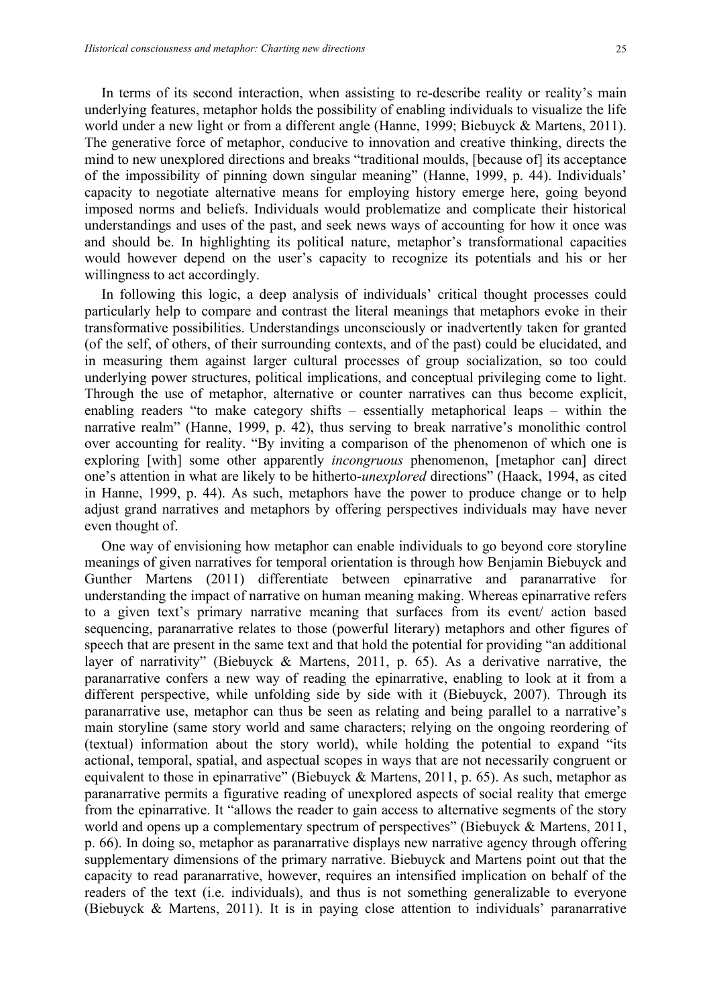In terms of its second interaction, when assisting to re-describe reality or reality's main underlying features, metaphor holds the possibility of enabling individuals to visualize the life world under a new light or from a different angle (Hanne, 1999; Biebuyck & Martens, 2011). The generative force of metaphor, conducive to innovation and creative thinking, directs the mind to new unexplored directions and breaks "traditional moulds, [because of] its acceptance of the impossibility of pinning down singular meaning" (Hanne, 1999, p. 44). Individuals' capacity to negotiate alternative means for employing history emerge here, going beyond imposed norms and beliefs. Individuals would problematize and complicate their historical understandings and uses of the past, and seek news ways of accounting for how it once was and should be. In highlighting its political nature, metaphor's transformational capacities would however depend on the user's capacity to recognize its potentials and his or her willingness to act accordingly.

In following this logic, a deep analysis of individuals' critical thought processes could particularly help to compare and contrast the literal meanings that metaphors evoke in their transformative possibilities. Understandings unconsciously or inadvertently taken for granted (of the self, of others, of their surrounding contexts, and of the past) could be elucidated, and in measuring them against larger cultural processes of group socialization, so too could underlying power structures, political implications, and conceptual privileging come to light. Through the use of metaphor, alternative or counter narratives can thus become explicit, enabling readers "to make category shifts – essentially metaphorical leaps – within the narrative realm" (Hanne, 1999, p. 42), thus serving to break narrative's monolithic control over accounting for reality. "By inviting a comparison of the phenomenon of which one is exploring [with] some other apparently *incongruous* phenomenon, [metaphor can] direct one's attention in what are likely to be hitherto-*unexplored* directions" (Haack, 1994, as cited in Hanne, 1999, p. 44). As such, metaphors have the power to produce change or to help adjust grand narratives and metaphors by offering perspectives individuals may have never even thought of.

One way of envisioning how metaphor can enable individuals to go beyond core storyline meanings of given narratives for temporal orientation is through how Benjamin Biebuyck and Gunther Martens (2011) differentiate between epinarrative and paranarrative for understanding the impact of narrative on human meaning making. Whereas epinarrative refers to a given text's primary narrative meaning that surfaces from its event/ action based sequencing, paranarrative relates to those (powerful literary) metaphors and other figures of speech that are present in the same text and that hold the potential for providing "an additional layer of narrativity" (Biebuyck & Martens, 2011, p. 65). As a derivative narrative, the paranarrative confers a new way of reading the epinarrative, enabling to look at it from a different perspective, while unfolding side by side with it (Biebuyck, 2007). Through its paranarrative use, metaphor can thus be seen as relating and being parallel to a narrative's main storyline (same story world and same characters; relying on the ongoing reordering of (textual) information about the story world), while holding the potential to expand "its actional, temporal, spatial, and aspectual scopes in ways that are not necessarily congruent or equivalent to those in epinarrative" (Biebuyck & Martens, 2011, p. 65). As such, metaphor as paranarrative permits a figurative reading of unexplored aspects of social reality that emerge from the epinarrative. It "allows the reader to gain access to alternative segments of the story world and opens up a complementary spectrum of perspectives" (Biebuyck & Martens, 2011, p. 66). In doing so, metaphor as paranarrative displays new narrative agency through offering supplementary dimensions of the primary narrative. Biebuyck and Martens point out that the capacity to read paranarrative, however, requires an intensified implication on behalf of the readers of the text (i.e. individuals), and thus is not something generalizable to everyone (Biebuyck & Martens, 2011). It is in paying close attention to individuals' paranarrative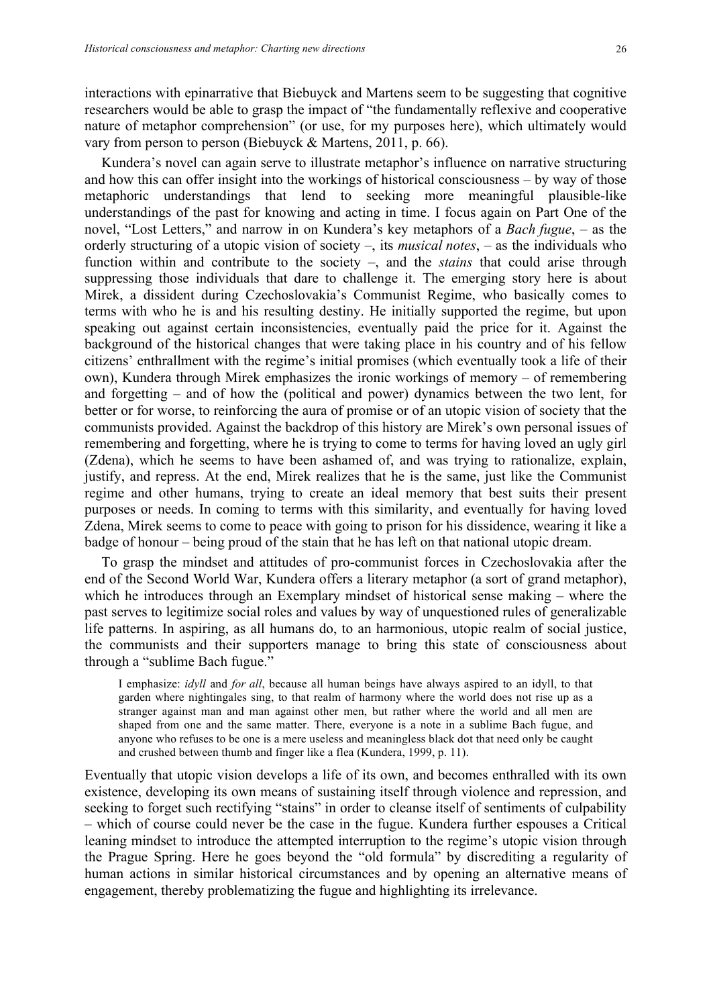interactions with epinarrative that Biebuyck and Martens seem to be suggesting that cognitive researchers would be able to grasp the impact of "the fundamentally reflexive and cooperative nature of metaphor comprehension" (or use, for my purposes here), which ultimately would vary from person to person (Biebuyck & Martens, 2011, p. 66).

Kundera's novel can again serve to illustrate metaphor's influence on narrative structuring and how this can offer insight into the workings of historical consciousness – by way of those metaphoric understandings that lend to seeking more meaningful plausible-like understandings of the past for knowing and acting in time. I focus again on Part One of the novel, "Lost Letters," and narrow in on Kundera's key metaphors of a *Bach fugue*, – as the orderly structuring of a utopic vision of society –, its *musical notes*, – as the individuals who function within and contribute to the society –, and the *stains* that could arise through suppressing those individuals that dare to challenge it. The emerging story here is about Mirek, a dissident during Czechoslovakia's Communist Regime, who basically comes to terms with who he is and his resulting destiny. He initially supported the regime, but upon speaking out against certain inconsistencies, eventually paid the price for it. Against the background of the historical changes that were taking place in his country and of his fellow citizens' enthrallment with the regime's initial promises (which eventually took a life of their own), Kundera through Mirek emphasizes the ironic workings of memory – of remembering and forgetting – and of how the (political and power) dynamics between the two lent, for better or for worse, to reinforcing the aura of promise or of an utopic vision of society that the communists provided. Against the backdrop of this history are Mirek's own personal issues of remembering and forgetting, where he is trying to come to terms for having loved an ugly girl (Zdena), which he seems to have been ashamed of, and was trying to rationalize, explain, justify, and repress. At the end, Mirek realizes that he is the same, just like the Communist regime and other humans, trying to create an ideal memory that best suits their present purposes or needs. In coming to terms with this similarity, and eventually for having loved Zdena, Mirek seems to come to peace with going to prison for his dissidence, wearing it like a badge of honour – being proud of the stain that he has left on that national utopic dream.

To grasp the mindset and attitudes of pro-communist forces in Czechoslovakia after the end of the Second World War, Kundera offers a literary metaphor (a sort of grand metaphor), which he introduces through an Exemplary mindset of historical sense making – where the past serves to legitimize social roles and values by way of unquestioned rules of generalizable life patterns. In aspiring, as all humans do, to an harmonious, utopic realm of social justice, the communists and their supporters manage to bring this state of consciousness about through a "sublime Bach fugue."

I emphasize: *idyll* and *for all*, because all human beings have always aspired to an idyll, to that garden where nightingales sing, to that realm of harmony where the world does not rise up as a stranger against man and man against other men, but rather where the world and all men are shaped from one and the same matter. There, everyone is a note in a sublime Bach fugue, and anyone who refuses to be one is a mere useless and meaningless black dot that need only be caught and crushed between thumb and finger like a flea (Kundera, 1999, p. 11).

Eventually that utopic vision develops a life of its own, and becomes enthralled with its own existence, developing its own means of sustaining itself through violence and repression, and seeking to forget such rectifying "stains" in order to cleanse itself of sentiments of culpability – which of course could never be the case in the fugue. Kundera further espouses a Critical leaning mindset to introduce the attempted interruption to the regime's utopic vision through the Prague Spring. Here he goes beyond the "old formula" by discrediting a regularity of human actions in similar historical circumstances and by opening an alternative means of engagement, thereby problematizing the fugue and highlighting its irrelevance.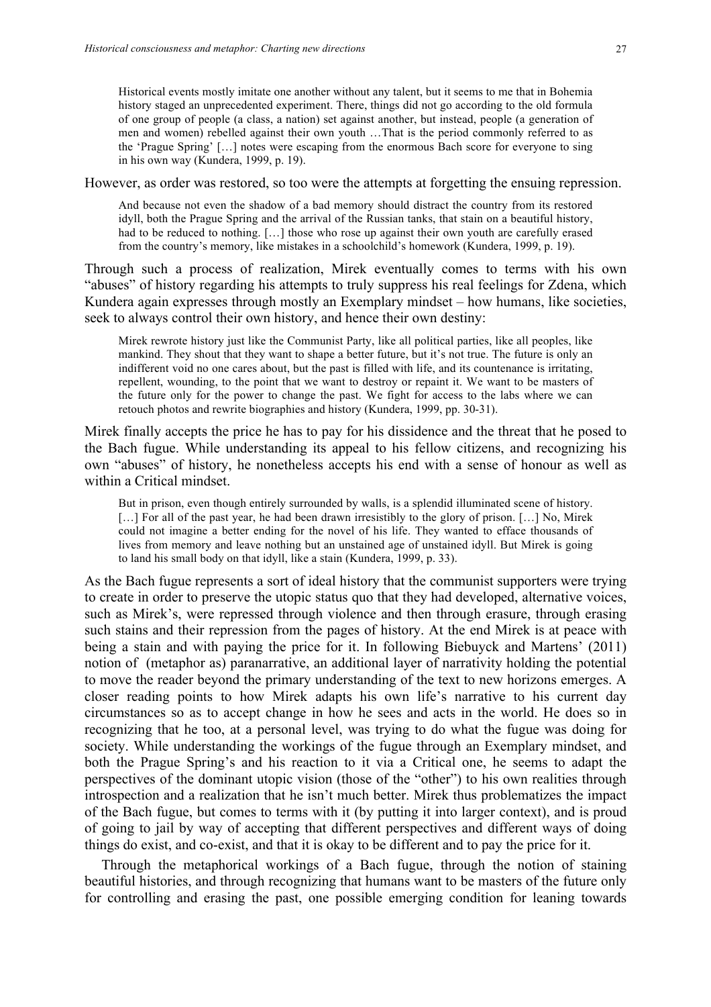Historical events mostly imitate one another without any talent, but it seems to me that in Bohemia history staged an unprecedented experiment. There, things did not go according to the old formula of one group of people (a class, a nation) set against another, but instead, people (a generation of men and women) rebelled against their own youth …That is the period commonly referred to as the 'Prague Spring' […] notes were escaping from the enormous Bach score for everyone to sing in his own way (Kundera, 1999, p. 19).

However, as order was restored, so too were the attempts at forgetting the ensuing repression.

And because not even the shadow of a bad memory should distract the country from its restored idyll, both the Prague Spring and the arrival of the Russian tanks, that stain on a beautiful history, had to be reduced to nothing. [...] those who rose up against their own youth are carefully erased from the country's memory, like mistakes in a schoolchild's homework (Kundera, 1999, p. 19).

Through such a process of realization, Mirek eventually comes to terms with his own "abuses" of history regarding his attempts to truly suppress his real feelings for Zdena, which Kundera again expresses through mostly an Exemplary mindset – how humans, like societies, seek to always control their own history, and hence their own destiny:

Mirek rewrote history just like the Communist Party, like all political parties, like all peoples, like mankind. They shout that they want to shape a better future, but it's not true. The future is only an indifferent void no one cares about, but the past is filled with life, and its countenance is irritating, repellent, wounding, to the point that we want to destroy or repaint it. We want to be masters of the future only for the power to change the past. We fight for access to the labs where we can retouch photos and rewrite biographies and history (Kundera, 1999, pp. 30-31).

Mirek finally accepts the price he has to pay for his dissidence and the threat that he posed to the Bach fugue. While understanding its appeal to his fellow citizens, and recognizing his own "abuses" of history, he nonetheless accepts his end with a sense of honour as well as within a Critical mindset.

But in prison, even though entirely surrounded by walls, is a splendid illuminated scene of history. [...] For all of the past year, he had been drawn irresistibly to the glory of prison. [...] No, Mirek could not imagine a better ending for the novel of his life. They wanted to efface thousands of lives from memory and leave nothing but an unstained age of unstained idyll. But Mirek is going to land his small body on that idyll, like a stain (Kundera, 1999, p. 33).

As the Bach fugue represents a sort of ideal history that the communist supporters were trying to create in order to preserve the utopic status quo that they had developed, alternative voices, such as Mirek's, were repressed through violence and then through erasure, through erasing such stains and their repression from the pages of history. At the end Mirek is at peace with being a stain and with paying the price for it. In following Biebuyck and Martens' (2011) notion of (metaphor as) paranarrative, an additional layer of narrativity holding the potential to move the reader beyond the primary understanding of the text to new horizons emerges. A closer reading points to how Mirek adapts his own life's narrative to his current day circumstances so as to accept change in how he sees and acts in the world. He does so in recognizing that he too, at a personal level, was trying to do what the fugue was doing for society. While understanding the workings of the fugue through an Exemplary mindset, and both the Prague Spring's and his reaction to it via a Critical one, he seems to adapt the perspectives of the dominant utopic vision (those of the "other") to his own realities through introspection and a realization that he isn't much better. Mirek thus problematizes the impact of the Bach fugue, but comes to terms with it (by putting it into larger context), and is proud of going to jail by way of accepting that different perspectives and different ways of doing things do exist, and co-exist, and that it is okay to be different and to pay the price for it.

Through the metaphorical workings of a Bach fugue, through the notion of staining beautiful histories, and through recognizing that humans want to be masters of the future only for controlling and erasing the past, one possible emerging condition for leaning towards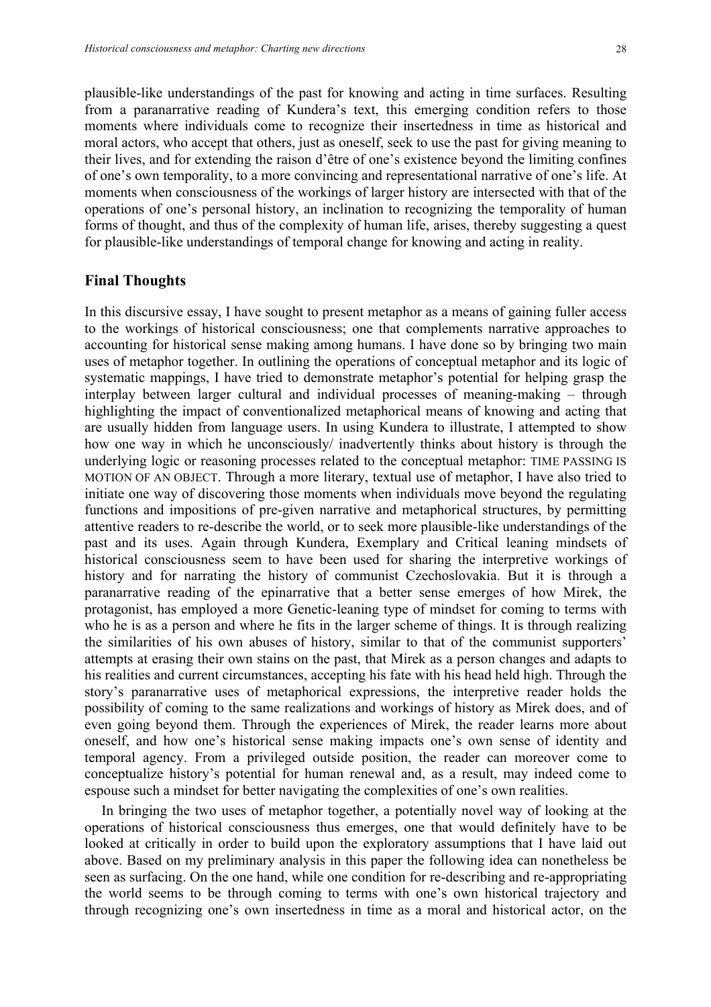plausible-like understandings of the past for knowing and acting in time surfaces. Resulting from a paranarrative reading of Kundera's text, this emerging condition refers to those moments where individuals come to recognize their insertedness in time as historical and moral actors, who accept that others, just as oneself, seek to use the past for giving meaning to their lives, and for extending the raison d'être of one's existence beyond the limiting confines of one's own temporality, to a more convincing and representational narrative of one's life. At moments when consciousness of the workings of larger history are intersected with that of the operations of one's personal history, an inclination to recognizing the temporality of human forms of thought, and thus of the complexity of human life, arises, thereby suggesting a quest for plausible-like understandings of temporal change for knowing and acting in reality.

#### **Final Thoughts**

In this discursive essay, I have sought to present metaphor as a means of gaining fuller access to the workings of historical consciousness; one that complements narrative approaches to accounting for historical sense making among humans. I have done so by bringing two main uses of metaphor together. In outlining the operations of conceptual metaphor and its logic of systematic mappings, I have tried to demonstrate metaphor's potential for helping grasp the interplay between larger cultural and individual processes of meaning-making – through highlighting the impact of conventionalized metaphorical means of knowing and acting that are usually hidden from language users. In using Kundera to illustrate, I attempted to show how one way in which he unconsciously/ inadvertently thinks about history is through the underlying logic or reasoning processes related to the conceptual metaphor: TIME PASSING IS MOTION OF AN OBJECT. Through a more literary, textual use of metaphor, I have also tried to initiate one way of discovering those moments when individuals move beyond the regulating functions and impositions of pre-given narrative and metaphorical structures, by permitting attentive readers to re-describe the world, or to seek more plausible-like understandings of the past and its uses. Again through Kundera, Exemplary and Critical leaning mindsets of historical consciousness seem to have been used for sharing the interpretive workings of history and for narrating the history of communist Czechoslovakia. But it is through a paranarrative reading of the epinarrative that a better sense emerges of how Mirek, the protagonist, has employed a more Genetic-leaning type of mindset for coming to terms with who he is as a person and where he fits in the larger scheme of things. It is through realizing the similarities of his own abuses of history, similar to that of the communist supporters' attempts at erasing their own stains on the past, that Mirek as a person changes and adapts to his realities and current circumstances, accepting his fate with his head held high. Through the story's paranarrative uses of metaphorical expressions, the interpretive reader holds the possibility of coming to the same realizations and workings of history as Mirek does, and of even going beyond them. Through the experiences of Mirek, the reader learns more about oneself, and how one's historical sense making impacts one's own sense of identity and temporal agency. From a privileged outside position, the reader can moreover come to conceptualize history's potential for human renewal and, as a result, may indeed come to espouse such a mindset for better navigating the complexities of one's own realities.

In bringing the two uses of metaphor together, a potentially novel way of looking at the operations of historical consciousness thus emerges, one that would definitely have to be looked at critically in order to build upon the exploratory assumptions that I have laid out above. Based on my preliminary analysis in this paper the following idea can nonetheless be seen as surfacing. On the one hand, while one condition for re-describing and re-appropriating the world seems to be through coming to terms with one's own historical trajectory and through recognizing one's own insertedness in time as a moral and historical actor, on the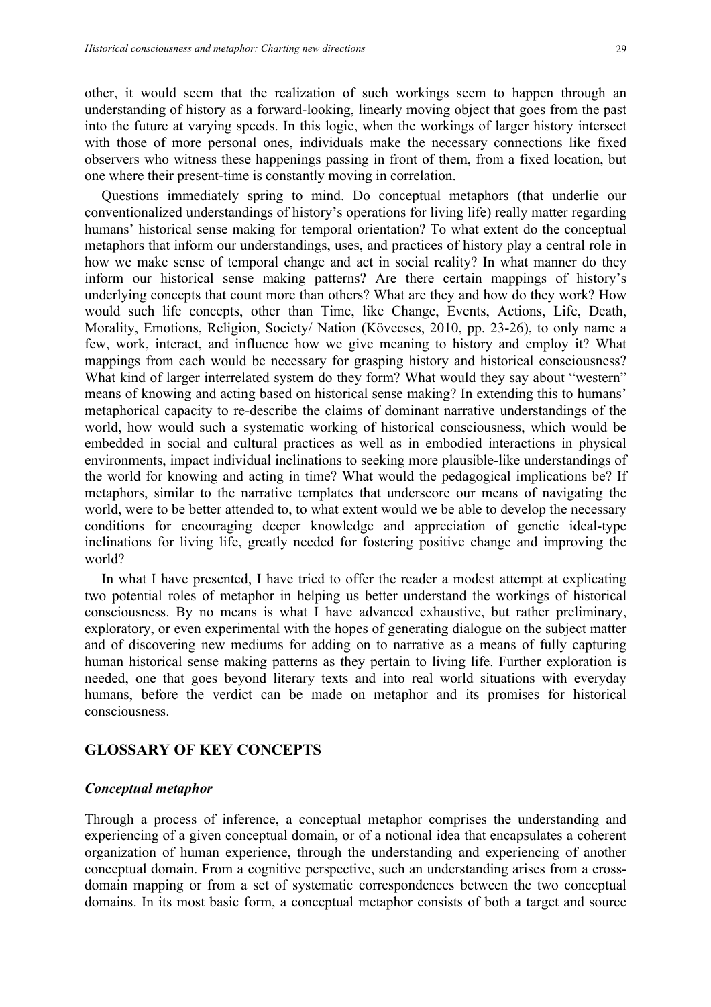other, it would seem that the realization of such workings seem to happen through an understanding of history as a forward-looking, linearly moving object that goes from the past into the future at varying speeds. In this logic, when the workings of larger history intersect with those of more personal ones, individuals make the necessary connections like fixed observers who witness these happenings passing in front of them, from a fixed location, but one where their present-time is constantly moving in correlation.

Questions immediately spring to mind. Do conceptual metaphors (that underlie our conventionalized understandings of history's operations for living life) really matter regarding humans' historical sense making for temporal orientation? To what extent do the conceptual metaphors that inform our understandings, uses, and practices of history play a central role in how we make sense of temporal change and act in social reality? In what manner do they inform our historical sense making patterns? Are there certain mappings of history's underlying concepts that count more than others? What are they and how do they work? How would such life concepts, other than Time, like Change, Events, Actions, Life, Death, Morality, Emotions, Religion, Society/ Nation (Kövecses, 2010, pp. 23-26), to only name a few, work, interact, and influence how we give meaning to history and employ it? What mappings from each would be necessary for grasping history and historical consciousness? What kind of larger interrelated system do they form? What would they say about "western" means of knowing and acting based on historical sense making? In extending this to humans' metaphorical capacity to re-describe the claims of dominant narrative understandings of the world, how would such a systematic working of historical consciousness, which would be embedded in social and cultural practices as well as in embodied interactions in physical environments, impact individual inclinations to seeking more plausible-like understandings of the world for knowing and acting in time? What would the pedagogical implications be? If metaphors, similar to the narrative templates that underscore our means of navigating the world, were to be better attended to, to what extent would we be able to develop the necessary conditions for encouraging deeper knowledge and appreciation of genetic ideal-type inclinations for living life, greatly needed for fostering positive change and improving the world?

In what I have presented, I have tried to offer the reader a modest attempt at explicating two potential roles of metaphor in helping us better understand the workings of historical consciousness. By no means is what I have advanced exhaustive, but rather preliminary, exploratory, or even experimental with the hopes of generating dialogue on the subject matter and of discovering new mediums for adding on to narrative as a means of fully capturing human historical sense making patterns as they pertain to living life. Further exploration is needed, one that goes beyond literary texts and into real world situations with everyday humans, before the verdict can be made on metaphor and its promises for historical consciousness.

#### **GLOSSARY OF KEY CONCEPTS**

#### *Conceptual metaphor*

Through a process of inference, a conceptual metaphor comprises the understanding and experiencing of a given conceptual domain, or of a notional idea that encapsulates a coherent organization of human experience, through the understanding and experiencing of another conceptual domain. From a cognitive perspective, such an understanding arises from a crossdomain mapping or from a set of systematic correspondences between the two conceptual domains. In its most basic form, a conceptual metaphor consists of both a target and source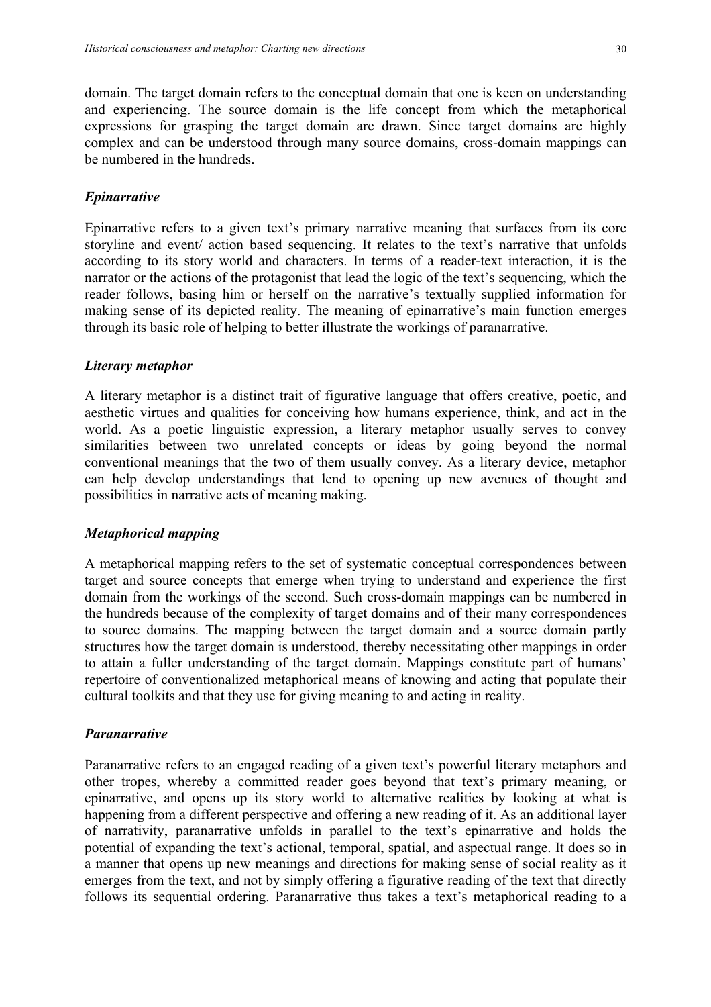domain. The target domain refers to the conceptual domain that one is keen on understanding and experiencing. The source domain is the life concept from which the metaphorical expressions for grasping the target domain are drawn. Since target domains are highly complex and can be understood through many source domains, cross-domain mappings can be numbered in the hundreds.

# *Epinarrative*

Epinarrative refers to a given text's primary narrative meaning that surfaces from its core storyline and event/ action based sequencing. It relates to the text's narrative that unfolds according to its story world and characters. In terms of a reader-text interaction, it is the narrator or the actions of the protagonist that lead the logic of the text's sequencing, which the reader follows, basing him or herself on the narrative's textually supplied information for making sense of its depicted reality. The meaning of epinarrative's main function emerges through its basic role of helping to better illustrate the workings of paranarrative.

# *Literary metaphor*

A literary metaphor is a distinct trait of figurative language that offers creative, poetic, and aesthetic virtues and qualities for conceiving how humans experience, think, and act in the world. As a poetic linguistic expression, a literary metaphor usually serves to convey similarities between two unrelated concepts or ideas by going beyond the normal conventional meanings that the two of them usually convey. As a literary device, metaphor can help develop understandings that lend to opening up new avenues of thought and possibilities in narrative acts of meaning making.

# *Metaphorical mapping*

A metaphorical mapping refers to the set of systematic conceptual correspondences between target and source concepts that emerge when trying to understand and experience the first domain from the workings of the second. Such cross-domain mappings can be numbered in the hundreds because of the complexity of target domains and of their many correspondences to source domains. The mapping between the target domain and a source domain partly structures how the target domain is understood, thereby necessitating other mappings in order to attain a fuller understanding of the target domain. Mappings constitute part of humans' repertoire of conventionalized metaphorical means of knowing and acting that populate their cultural toolkits and that they use for giving meaning to and acting in reality.

# *Paranarrative*

Paranarrative refers to an engaged reading of a given text's powerful literary metaphors and other tropes, whereby a committed reader goes beyond that text's primary meaning, or epinarrative, and opens up its story world to alternative realities by looking at what is happening from a different perspective and offering a new reading of it. As an additional layer of narrativity, paranarrative unfolds in parallel to the text's epinarrative and holds the potential of expanding the text's actional, temporal, spatial, and aspectual range. It does so in a manner that opens up new meanings and directions for making sense of social reality as it emerges from the text, and not by simply offering a figurative reading of the text that directly follows its sequential ordering. Paranarrative thus takes a text's metaphorical reading to a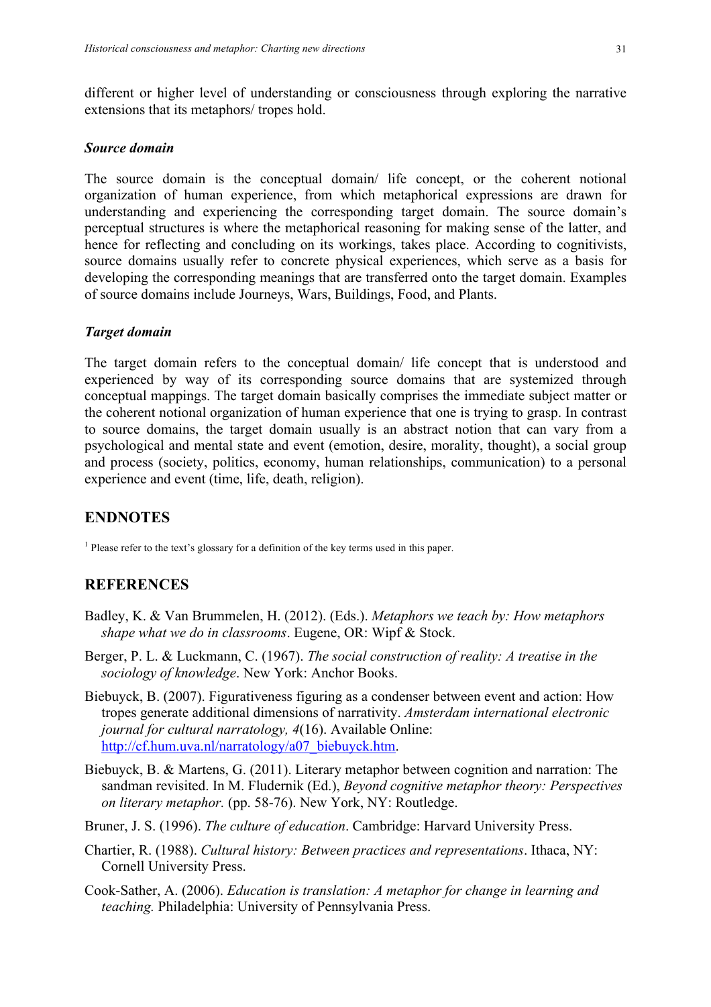different or higher level of understanding or consciousness through exploring the narrative extensions that its metaphors/ tropes hold.

#### *Source domain*

The source domain is the conceptual domain/ life concept, or the coherent notional organization of human experience, from which metaphorical expressions are drawn for understanding and experiencing the corresponding target domain. The source domain's perceptual structures is where the metaphorical reasoning for making sense of the latter, and hence for reflecting and concluding on its workings, takes place. According to cognitivists, source domains usually refer to concrete physical experiences, which serve as a basis for developing the corresponding meanings that are transferred onto the target domain. Examples of source domains include Journeys, Wars, Buildings, Food, and Plants.

#### *Target domain*

The target domain refers to the conceptual domain/ life concept that is understood and experienced by way of its corresponding source domains that are systemized through conceptual mappings. The target domain basically comprises the immediate subject matter or the coherent notional organization of human experience that one is trying to grasp. In contrast to source domains, the target domain usually is an abstract notion that can vary from a psychological and mental state and event (emotion, desire, morality, thought), a social group and process (society, politics, economy, human relationships, communication) to a personal experience and event (time, life, death, religion).

# **ENDNOTES**

<sup>1</sup> Please refer to the text's glossary for a definition of the key terms used in this paper.

# **REFERENCES**

- Badley, K. & Van Brummelen, H. (2012). (Eds.). *Metaphors we teach by: How metaphors shape what we do in classrooms*. Eugene, OR: Wipf & Stock.
- Berger, P. L. & Luckmann, C. (1967). *The social construction of reality: A treatise in the sociology of knowledge*. New York: Anchor Books.
- Biebuyck, B. (2007). Figurativeness figuring as a condenser between event and action: How tropes generate additional dimensions of narrativity. *Amsterdam international electronic journal for cultural narratology, 4*(16). Available Online: http://cf.hum.uva.nl/narratology/a07\_biebuyck.htm.
- Biebuyck, B. & Martens, G. (2011). Literary metaphor between cognition and narration: The sandman revisited. In M. Fludernik (Ed.), *Beyond cognitive metaphor theory: Perspectives on literary metaphor.* (pp. 58-76). New York, NY: Routledge.
- Bruner, J. S. (1996). *The culture of education*. Cambridge: Harvard University Press.
- Chartier, R. (1988). *Cultural history: Between practices and representations*. Ithaca, NY: Cornell University Press.
- Cook-Sather, A. (2006). *Education is translation: A metaphor for change in learning and teaching.* Philadelphia: University of Pennsylvania Press.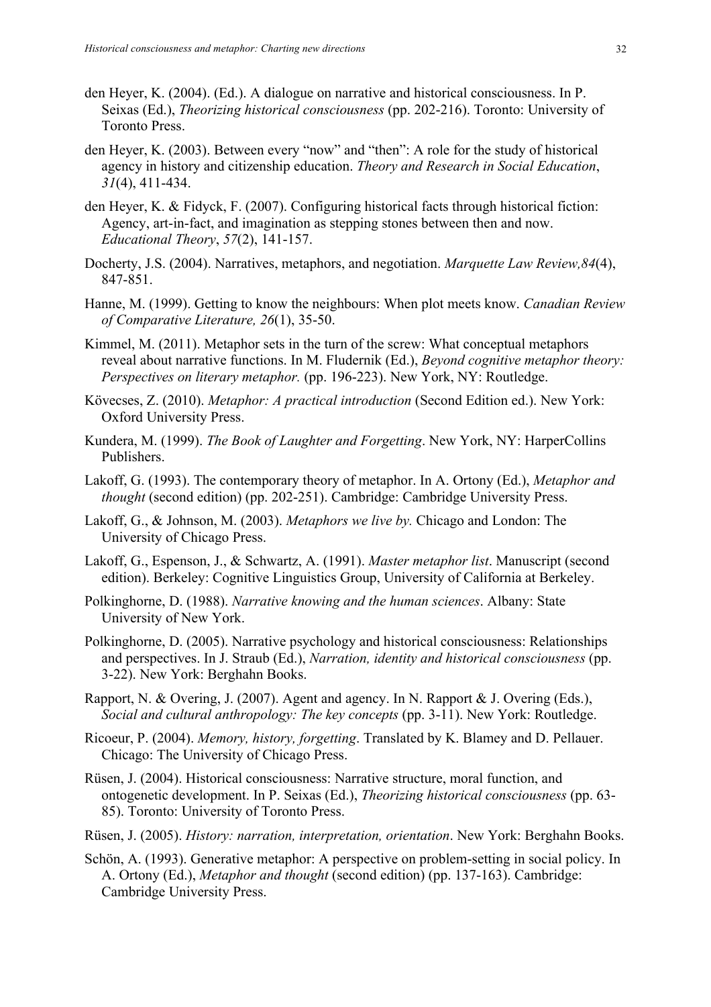- den Heyer, K. (2004). (Ed.). A dialogue on narrative and historical consciousness. In P. Seixas (Ed.), *Theorizing historical consciousness* (pp. 202-216). Toronto: University of Toronto Press.
- den Heyer, K. (2003). Between every "now" and "then": A role for the study of historical agency in history and citizenship education. *Theory and Research in Social Education*, *31*(4), 411-434.
- den Heyer, K. & Fidyck, F. (2007). Configuring historical facts through historical fiction: Agency, art-in-fact, and imagination as stepping stones between then and now. *Educational Theory*, *57*(2), 141-157.
- Docherty, J.S. (2004). Narratives, metaphors, and negotiation. *Marquette Law Review,84*(4), 847-851.
- Hanne, M. (1999). Getting to know the neighbours: When plot meets know. *Canadian Review of Comparative Literature, 26*(1), 35-50.
- Kimmel, M. (2011). Metaphor sets in the turn of the screw: What conceptual metaphors reveal about narrative functions. In M. Fludernik (Ed.), *Beyond cognitive metaphor theory: Perspectives on literary metaphor.* (pp. 196-223). New York, NY: Routledge.
- Kövecses, Z. (2010). *Metaphor: A practical introduction* (Second Edition ed.). New York: Oxford University Press.
- Kundera, M. (1999). *The Book of Laughter and Forgetting*. New York, NY: HarperCollins Publishers.
- Lakoff, G. (1993). The contemporary theory of metaphor. In A. Ortony (Ed.), *Metaphor and thought* (second edition) (pp. 202-251). Cambridge: Cambridge University Press.
- Lakoff, G., & Johnson, M. (2003). *Metaphors we live by.* Chicago and London: The University of Chicago Press.
- Lakoff, G., Espenson, J., & Schwartz, A. (1991). *Master metaphor list*. Manuscript (second edition). Berkeley: Cognitive Linguistics Group, University of California at Berkeley.
- Polkinghorne, D. (1988). *Narrative knowing and the human sciences*. Albany: State University of New York.
- Polkinghorne, D. (2005). Narrative psychology and historical consciousness: Relationships and perspectives. In J. Straub (Ed.), *Narration, identity and historical consciousness* (pp. 3-22). New York: Berghahn Books.
- Rapport, N. & Overing, J. (2007). Agent and agency. In N. Rapport & J. Overing (Eds.), *Social and cultural anthropology: The key concepts* (pp. 3-11). New York: Routledge.
- Ricoeur, P. (2004). *Memory, history, forgetting*. Translated by K. Blamey and D. Pellauer. Chicago: The University of Chicago Press.
- Rüsen, J. (2004). Historical consciousness: Narrative structure, moral function, and ontogenetic development. In P. Seixas (Ed.), *Theorizing historical consciousness* (pp. 63- 85). Toronto: University of Toronto Press.
- Rüsen, J. (2005). *History: narration, interpretation, orientation*. New York: Berghahn Books.
- Schön, A. (1993). Generative metaphor: A perspective on problem-setting in social policy. In A. Ortony (Ed.), *Metaphor and thought* (second edition) (pp. 137-163). Cambridge: Cambridge University Press.